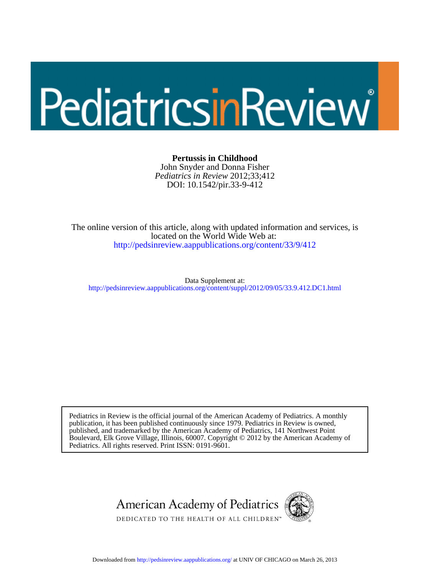# PediatricsinReview

DOI: 10.1542/pir.33-9-412 *Pediatrics in Review* 2012;33;412 John Snyder and Donna Fisher **Pertussis in Childhood**

<http://pedsinreview.aappublications.org/content/33/9/412> located on the World Wide Web at: The online version of this article, along with updated information and services, is

http://pedsinreview.aappublications.org/content/suppl/2012/09/05/33.9.412.DC1.html Data Supplement at:

Pediatrics. All rights reserved. Print ISSN: 0191-9601. Boulevard, Elk Grove Village, Illinois, 60007. Copyright © 2012 by the American Academy of published, and trademarked by the American Academy of Pediatrics, 141 Northwest Point publication, it has been published continuously since 1979. Pediatrics in Review is owned, Pediatrics in Review is the official journal of the American Academy of Pediatrics. A monthly



Downloaded from<http://pedsinreview.aappublications.org/>at UNIV OF CHICAGO on March 26, 2013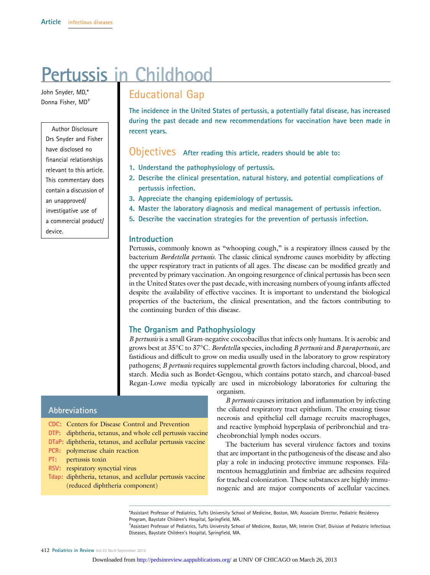# Pertussis in Childhood

John Snyder, MD,\* Donna Fisher, MD†

Author Disclosure Drs Snyder and Fisher have disclosed no financial relationships relevant to this article. This commentary does contain a discussion of an unapproved/ investigative use of a commercial product/ device.

# Educational Gap

The incidence in the United States of pertussis, a potentially fatal disease, has increased during the past decade and new recommendations for vaccination have been made in recent years.

### Objectives After reading this article, readers should be able to:

- 1. Understand the pathophysiology of pertussis.
- 2. Describe the clinical presentation, natural history, and potential complications of pertussis infection.
- 3. Appreciate the changing epidemiology of pertussis.
- 4. Master the laboratory diagnosis and medical management of pertussis infection.
- 5. Describe the vaccination strategies for the prevention of pertussis infection.

#### Introduction

Pertussis, commonly known as "whooping cough," is a respiratory illness caused by the bacterium Bordetella pertussis. The classic clinical syndrome causes morbidity by affecting the upper respiratory tract in patients of all ages. The disease can be modified greatly and prevented by primary vaccination. An ongoing resurgence of clinical pertussis has been seen in the United States over the past decade, with increasing numbers of young infants affected despite the availability of effective vaccines. It is important to understand the biological properties of the bacterium, the clinical presentation, and the factors contributing to the continuing burden of this disease.

#### The Organism and Pathophysiology

B pertussis is a small Gram-negative coccobacillus that infects only humans. It is aerobic and grows best at  $35^{\circ}$ C to  $37^{\circ}$ C. Bordetella species, including B pertussis and B parapertussis, are fastidious and difficult to grow on media usually used in the laboratory to grow respiratory pathogens; B pertussis requires supplemental growth factors including charcoal, blood, and starch. Media such as Bordet-Gengou, which contains potato starch, and charcoal-based Regan-Lowe media typically are used in microbiology laboratories for culturing the organism.

#### **Abbreviations**

- CDC: Centers for Disease Control and Prevention
- DTP: diphtheria, tetanus, and whole cell pertussis vaccine
- DTaP: diphtheria, tetanus, and acellular pertussis vaccine
- PCR: polymerase chain reaction
- PT: pertussis toxin
- RSV: respiratory syncytial virus
- Tdap: diphtheria, tetanus, and acellular pertussis vaccine (reduced diphtheria component)

B *pertussis* causes irritation and inflammation by infecting the ciliated respiratory tract epithelium. The ensuing tissue necrosis and epithelial cell damage recruits macrophages, and reactive lymphoid hyperplasia of peribronchial and tracheobronchial lymph nodes occurs.

The bacterium has several virulence factors and toxins that are important in the pathogenesis of the disease and also play a role in inducing protective immune responses. Filamentous hemagglutinin and fimbriae are adhesins required for tracheal colonization. These substances are highly immunogenic and are major components of acellular vaccines.

<sup>\*</sup>Assistant Professor of Pediatrics, Tufts University School of Medicine, Boston, MA; Associate Director, Pediatric Residency Program, Baystate Children's Hospital, Springfield, MA.

<sup>†</sup> Assistant Professor of Pediatrics, Tufts University School of Medicine, Boston, MA; Interim Chief, Division of Pediatric Infectious Diseases, Baystate Children's Hospital, Springfield, MA.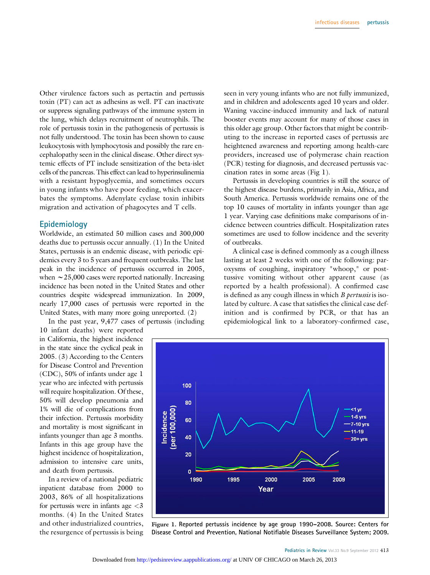Other virulence factors such as pertactin and pertussis toxin (PT) can act as adhesins as well. PT can inactivate or suppress signaling pathways of the immune system in the lung, which delays recruitment of neutrophils. The role of pertussis toxin in the pathogenesis of pertussis is not fully understood. The toxin has been shown to cause leukocytosis with lymphocytosis and possibly the rare encephalopathy seen in the clinical disease. Other direct systemic effects of PT include sensitization of the beta-islet cells of the pancreas. This effect can lead to hyperinsulinemia with a resistant hypoglycemia, and sometimes occurs in young infants who have poor feeding, which exacerbates the symptoms. Adenylate cyclase toxin inhibits migration and activation of phagocytes and T cells.

#### Epidemiology

Worldwide, an estimated 50 million cases and 300,000 deaths due to pertussis occur annually. (1) In the United States, pertussis is an endemic disease, with periodic epidemics every 3 to 5 years and frequent outbreaks. The last peak in the incidence of pertussis occurred in 2005, when  $\approx$  25,000 cases were reported nationally. Increasing incidence has been noted in the United States and other countries despite widespread immunization. In 2009, nearly 17,000 cases of pertussis were reported in the United States, with many more going unreported. (2)

In the past year, 9,477 cases of pertussis (including

10 infant deaths) were reported in California, the highest incidence in the state since the cyclical peak in 2005. (3) According to the Centers for Disease Control and Prevention (CDC), 50% of infants under age 1 year who are infected with pertussis will require hospitalization. Of these, 50% will develop pneumonia and 1% will die of complications from their infection. Pertussis morbidity and mortality is most significant in infants younger than age 3 months. Infants in this age group have the highest incidence of hospitalization, admission to intensive care units, and death from pertussis.

In a review of a national pediatric inpatient database from 2000 to 2003, 86% of all hospitalizations for pertussis were in infants age  $\langle 3 \rangle$ months. (4) In the United States and other industrialized countries, the resurgence of pertussis is being seen in very young infants who are not fully immunized, and in children and adolescents aged 10 years and older. Waning vaccine-induced immunity and lack of natural booster events may account for many of those cases in this older age group. Other factors that might be contributing to the increase in reported cases of pertussis are heightened awareness and reporting among health-care providers, increased use of polymerase chain reaction (PCR) testing for diagnosis, and decreased pertussis vaccination rates in some areas (Fig 1).

Pertussis in developing countries is still the source of the highest disease burdens, primarily in Asia, Africa, and South America. Pertussis worldwide remains one of the top 10 causes of mortality in infants younger than age 1 year. Varying case definitions make comparisons of incidence between countries difficult. Hospitalization rates sometimes are used to follow incidence and the severity of outbreaks.

A clinical case is defined commonly as a cough illness lasting at least 2 weeks with one of the following: paroxysms of coughing, inspiratory "whoop," or posttussive vomiting without other apparent cause (as reported by a health professional). A confirmed case is defined as any cough illness in which B pertussis is isolated by culture. A case that satisfies the clinical case definition and is confirmed by PCR, or that has an epidemiological link to a laboratory-confirmed case,



Figure 1. Reported pertussis incidence by age group 1990–2008. Source: Centers for Disease Control and Prevention, National Notifiable Diseases Surveillance System; 2009.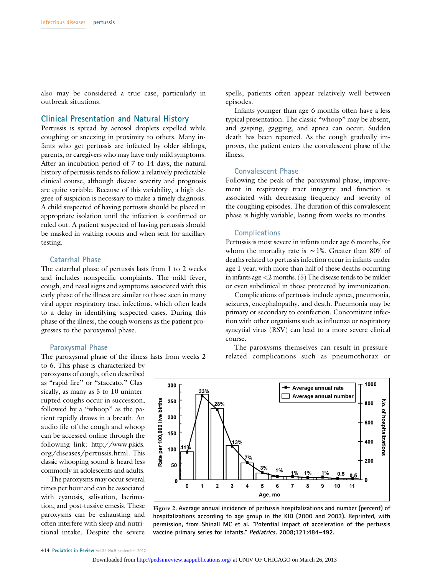also may be considered a true case, particularly in outbreak situations.

#### Clinical Presentation and Natural History

Pertussis is spread by aerosol droplets expelled while coughing or sneezing in proximity to others. Many infants who get pertussis are infected by older siblings, parents, or caregivers who may have only mild symptoms. After an incubation period of 7 to 14 days, the natural history of pertussis tends to follow a relatively predictable clinical course, although disease severity and prognosis are quite variable. Because of this variability, a high degree of suspicion is necessary to make a timely diagnosis. A child suspected of having pertussis should be placed in appropriate isolation until the infection is confirmed or ruled out. A patient suspected of having pertussis should be masked in waiting rooms and when sent for ancillary testing.

#### Catarrhal Phase

The catarrhal phase of pertussis lasts from 1 to 2 weeks and includes nonspecific complaints. The mild fever, cough, and nasal signs and symptoms associated with this early phase of the illness are similar to those seen in many viral upper respiratory tract infections, which often leads to a delay in identifying suspected cases. During this phase of the illness, the cough worsens as the patient progresses to the paroxysmal phase.

#### Paroxysmal Phase

The paroxysmal phase of the illness lasts from weeks 2

to 6. This phase is characterized by paroxysms of cough, often described as "rapid fire" or "staccato." Classically, as many as 5 to 10 uninterrupted coughs occur in succession, followed by a "whoop" as the patient rapidly draws in a breath. An audio file of the cough and whoop can be accessed online through the following link: [http://www.pkids.](http://www.pkids.org/diseases/pertussis.html) [org/diseases/pertussis.html](http://www.pkids.org/diseases/pertussis.html). This classic whooping sound is heard less commonly in adolescents and adults.

The paroxysms may occur several times per hour and can be associated with cyanosis, salivation, lacrimation, and post-tussive emesis. These paroxysms can be exhausting and often interfere with sleep and nutritional intake. Despite the severe spells, patients often appear relatively well between episodes.

Infants younger than age 6 months often have a less typical presentation. The classic "whoop" may be absent, and gasping, gagging, and apnea can occur. Sudden death has been reported. As the cough gradually improves, the patient enters the convalescent phase of the illness.

#### Convalescent Phase

Following the peak of the paroxysmal phase, improvement in respiratory tract integrity and function is associated with decreasing frequency and severity of the coughing episodes. The duration of this convalescent phase is highly variable, lasting from weeks to months.

#### **Complications**

Pertussis is most severe in infants under age 6 months, for whom the mortality rate is  $\sim$  1%. Greater than 80% of deaths related to pertussis infection occur in infants under age 1 year, with more than half of these deaths occurring in infants age  $\leq$  2 months. (5) The disease tends to be milder or even subclinical in those protected by immunization.

Complications of pertussis include apnea, pneumonia, seizures, encephalopathy, and death. Pneumonia may be primary or secondary to coinfection. Concomitant infection with other organisms such as influenza or respiratory syncytial virus (RSV) can lead to a more severe clinical course.

The paroxysms themselves can result in pressurerelated complications such as pneumothorax or



Figure 2. Average annual incidence of pertussis hospitalizations and number (percent) of hospitalizations according to age group in the KID (2000 and 2003). Reprinted, with permission, from Shinall MC et al. "Potential impact of acceleration of the pertussis vaccine primary series for infants." Pediatrics. 2008;121:484–492.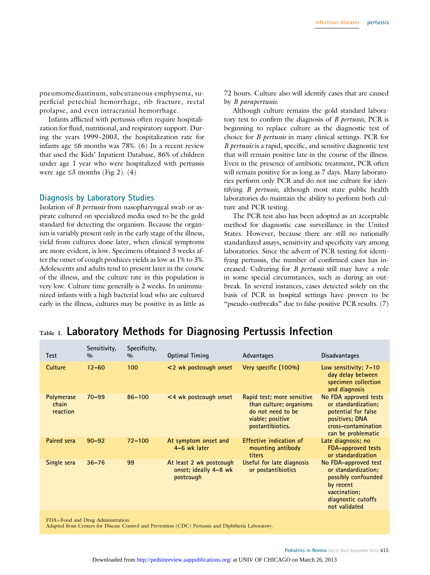pneumomediastinum, subcutaneous emphysema, superficial petechial hemorrhage, rib fracture, rectal prolapse, and even intracranial hemorrhage.

Infants afflicted with pertussis often require hospitalization for fluid, nutritional, and respiratory support. During the years 1999–2003, the hospitalization rate for infants age  $\leq 6$  months was 78%. (6) In a recent review that used the Kids' Inpatient Database, 86% of children under age 1 year who were hospitalized with pertussis were age  $\leq 3$  months (Fig 2). (4)

#### Diagnosis by Laboratory Studies

Isolation of B pertussis from nasopharyngeal swab or aspirate cultured on specialized media used to be the gold standard for detecting the organism. Because the organism is variably present only in the early stage of the illness, yield from cultures done later, when clinical symptoms are more evident, is low. Specimens obtained 3 weeks after the onset of cough produces yields as low as 1% to 3%. Adolescents and adults tend to present later in the course of the illness, and the culture rate in this population is very low. Culture time generally is 2 weeks. In unimmunized infants with a high bacterial load who are cultured early in the illness, cultures may be positive in as little as 72 hours. Culture also will identify cases that are caused by B parapertussis.

Although culture remains the gold standard laboratory test to confirm the diagnosis of B pertussis, PCR is beginning to replace culture as the diagnostic test of choice for B pertussis in many clinical settings. PCR for B pertussis is a rapid, specific, and sensitive diagnostic test that will remain positive late in the course of the illness. Even in the presence of antibiotic treatment, PCR often will remain positive for as long as 7 days. Many laboratories perform only PCR and do not use culture for identifying B pertussis, although most state public health laboratories do maintain the ability to perform both culture and PCR testing.

The PCR test also has been adopted as an acceptable method for diagnostic case surveillance in the United States. However, because there are still no nationally standardized assays, sensitivity and specificity vary among laboratories. Since the advent of PCR testing for identifying pertussis, the number of confirmed cases has increased. Culturing for B pertussis still may have a role in some special circumstances, such as during an outbreak. In several instances, cases detected solely on the basis of PCR in hospital settings have proven to be "pseudo-outbreaks" due to false-positive PCR results. (7)

# Table 1. Laboratory Methods for Diagnosing Pertussis Infection

| <b>Test</b>                                                                                                                             | Sensitivity,<br>$\frac{0}{0}$ | Specificity,<br>$\frac{0}{0}$ | <b>Optimal Timing</b>                                         | Advantages                                                                                                         | <b>Disadvantages</b>                                                                                                                   |
|-----------------------------------------------------------------------------------------------------------------------------------------|-------------------------------|-------------------------------|---------------------------------------------------------------|--------------------------------------------------------------------------------------------------------------------|----------------------------------------------------------------------------------------------------------------------------------------|
| Culture                                                                                                                                 | $12 - 60$                     | 100                           | <2 wk postcough onset                                         | Very specific (100%)                                                                                               | Low sensitivity; 7-10<br>day delay between<br>specimen collection<br>and diagnosis                                                     |
| Polymerase<br>chain<br>reaction                                                                                                         | $70 - 99$                     | $86 - 100$                    | <4 wk postcough onset                                         | Rapid test; more sensitive<br>than culture; organisms<br>do not need to be<br>viable; positive<br>postantibiotics. | No FDA approved tests<br>or standardization;<br>potential for false<br>positives; DNA<br>cross-contamination<br>can be problematic     |
| Paired sera                                                                                                                             | $90 - 92$                     | $72 - 100$                    | At symptom onset and<br>4-6 wk later                          | <b>Effective indication of</b><br>mounting antibody<br>titers                                                      | Late diagnosis; no<br><b>FDA-approved tests</b><br>or standardization                                                                  |
| Single sera                                                                                                                             | $36 - 76$                     | 99                            | At least 2 wk postcough<br>onset; ideally 4-8 wk<br>postcough | Useful for late diagnosis<br>or postantibiotics                                                                    | No FDA-approved test<br>or standardization;<br>possibly confounded<br>by recent<br>vaccination;<br>diagnostic cutoffs<br>not validated |
| FDA=Food and Drug Administration.<br>Adapted from Centers for Disease Control and Prevention (CDC) Pertussis and Diphtheria Laboratory. |                               |                               |                                                               |                                                                                                                    |                                                                                                                                        |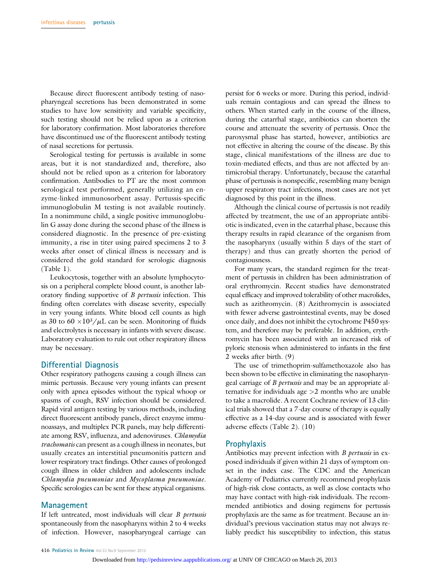Because direct fluorescent antibody testing of nasopharyngeal secretions has been demonstrated in some studies to have low sensitivity and variable specificity, such testing should not be relied upon as a criterion for laboratory confirmation. Most laboratories therefore have discontinued use of the fluorescent antibody testing of nasal secretions for pertussis.

Serological testing for pertussis is available in some areas, but it is not standardized and, therefore, also should not be relied upon as a criterion for laboratory confirmation. Antibodies to PT are the most common serological test performed, generally utilizing an enzyme-linked immunosorbent assay. Pertussis-specific immunoglobulin M testing is not available routinely. In a nonimmune child, a single positive immunoglobulin G assay done during the second phase of the illness is considered diagnostic. In the presence of pre-existing immunity, a rise in titer using paired specimens 2 to 3 weeks after onset of clinical illness is necessary and is considered the gold standard for serologic diagnosis (Table 1).

Leukocytosis, together with an absolute lymphocytosis on a peripheral complete blood count, is another laboratory finding supportive of B pertussis infection. This finding often correlates with disease severity, especially in very young infants. White blood cell counts as high as 30 to 60  $\times$ 10<sup>3</sup>/ $\mu$ L can be seen. Monitoring of fluids and electrolytes is necessary in infants with severe disease. Laboratory evaluation to rule out other respiratory illness may be necessary.

#### Differential Diagnosis

Other respiratory pathogens causing a cough illness can mimic pertussis. Because very young infants can present only with apnea episodes without the typical whoop or spasms of cough, RSV infection should be considered. Rapid viral antigen testing by various methods, including direct fluorescent antibody panels, direct enzyme immunoassays, and multiplex PCR panels, may help differentiate among RSV, influenza, and adenoviruses. Chlamydia trachomatis can present as a cough illness in neonates, but usually creates an interstitial pneumonitis pattern and lower respiratory tract findings. Other causes of prolonged cough illness in older children and adolescents include Chlamydia pneumoniae and Mycoplasma pneumoniae. Specific serologies can be sent for these atypical organisms.

#### Management

If left untreated, most individuals will clear B pertussis spontaneously from the nasopharynx within 2 to 4 weeks of infection. However, nasopharyngeal carriage can

persist for 6 weeks or more. During this period, individuals remain contagious and can spread the illness to others. When started early in the course of the illness, during the catarrhal stage, antibiotics can shorten the course and attenuate the severity of pertussis. Once the paroxysmal phase has started, however, antibiotics are not effective in altering the course of the disease. By this stage, clinical manifestations of the illness are due to toxin-mediated effects, and thus are not affected by antimicrobial therapy. Unfortunately, because the catarrhal phase of pertussis is nonspecific, resembling many benign upper respiratory tract infections, most cases are not yet diagnosed by this point in the illness.

Although the clinical course of pertussis is not readily affected by treatment, the use of an appropriate antibiotic is indicated, even in the catarrhal phase, because this therapy results in rapid clearance of the organism from the nasopharynx (usually within 5 days of the start of therapy) and thus can greatly shorten the period of contagiousness.

For many years, the standard regimen for the treatment of pertussis in children has been administration of oral erythromycin. Recent studies have demonstrated equal efficacy and improved tolerability of other macrolides, such as azithromycin. (8) Azithromycin is associated with fewer adverse gastrointestinal events, may be dosed once daily, and does not inhibit the cytochrome P450 system, and therefore may be preferable. In addition, erythromycin has been associated with an increased risk of pyloric stenosis when administered to infants in the first 2 weeks after birth. (9)

The use of trimethoprim-sulfamethoxazole also has been shown to be effective in eliminating the nasopharyngeal carriage of B pertussis and may be an appropriate alternative for individuals age  $>2$  months who are unable to take a macrolide. A recent Cochrane review of 13 clinical trials showed that a 7-day course of therapy is equally effective as a 14-day course and is associated with fewer adverse effects (Table 2). (10)

#### Prophylaxis

Antibiotics may prevent infection with *B pertussis* in exposed individuals if given within 21 days of symptom onset in the index case. The CDC and the American Academy of Pediatrics currently recommend prophylaxis of high-risk close contacts, as well as close contacts who may have contact with high-risk individuals. The recommended antibiotics and dosing regimens for pertussis prophylaxis are the same as for treatment. Because an individual's previous vaccination status may not always reliably predict his susceptibility to infection, this status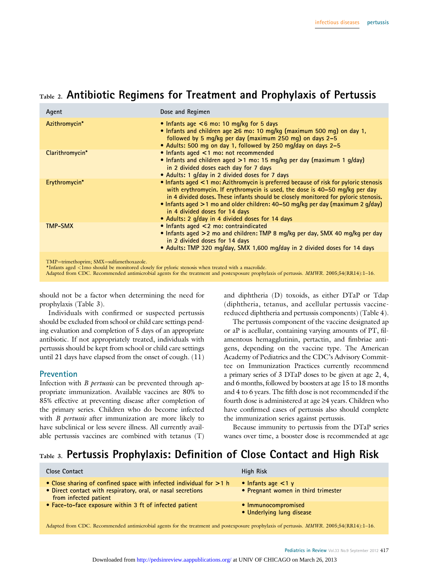# Table 2. Antibiotic Regimens for Treatment and Prophylaxis of Pertussis

| Agent                       | Dose and Regimen                                                                                                                                                                                                                                                                                                                                                                                                                     |
|-----------------------------|--------------------------------------------------------------------------------------------------------------------------------------------------------------------------------------------------------------------------------------------------------------------------------------------------------------------------------------------------------------------------------------------------------------------------------------|
| Azithromycin*               | • Infants age $\leq 6$ mo: 10 mg/kg for 5 days<br>• Infants and children age ≥6 mo: 10 mg/kg (maximum 500 mg) on day 1,<br>followed by 5 mg/kg per day (maximum 250 mg) on days $2-5$<br>• Adults: 500 mg on day 1, followed by 250 mg/day on days 2-5                                                                                                                                                                               |
| Clarithromycin <sup>*</sup> | • Infants aged <1 mo: not recommended<br>• Infants and children aged $>1$ mo: 15 mg/kg per day (maximum 1 g/day)<br>in 2 divided doses each day for 7 days<br>• Adults: 1 g/day in 2 divided doses for 7 days                                                                                                                                                                                                                        |
| Erythromycin*               | • Infants aged <1 mo: Azithromycin is preferred because of risk for pyloric stenosis<br>with erythromycin. If erythromycin is used, the dose is 40–50 mg/kg per day<br>in 4 divided doses. These infants should be closely monitored for pyloric stenosis.<br>• Infants aged $>1$ mo and older children: 40–50 mg/kg per day (maximum 2 g/day)<br>in 4 divided doses for 14 days<br>• Adults: 2 g/day in 4 divided doses for 14 days |
| <b>TMP-SMX</b>              | • Infants aged <2 mo: contraindicated<br>• Infants aged >2 mo and children: TMP 8 mg/kg per day, SMX 40 mg/kg per day<br>in 2 divided doses for 14 days<br>• Adults: TMP 320 mg/day, SMX 1,600 mg/day in 2 divided doses for 14 days                                                                                                                                                                                                 |
|                             |                                                                                                                                                                                                                                                                                                                                                                                                                                      |

TMP=trimethoprim; SMX=sulfamethoxazole

\*Infants aged <1mo should be monitored closely for pyloric stenosis when treated with a macrolide.

Adapted from CDC. Recommended antimicrobial agents for the treatment and postexposure prophylaxis of pertussis. MMWR. 2005;54(RR14):1–16.

should not be a factor when determining the need for prophylaxis (Table 3).

Individuals with confirmed or suspected pertussis should be excluded from school or child care settings pending evaluation and completion of 5 days of an appropriate antibiotic. If not appropriately treated, individuals with pertussis should be kept from school or child care settings until 21 days have elapsed from the onset of cough. (11)

#### Prevention

Infection with *B pertussis* can be prevented through appropriate immunization. Available vaccines are 80% to 85% effective at preventing disease after completion of the primary series. Children who do become infected with  $B$  *pertussis* after immunization are more likely to have subclinical or less severe illness. All currently available pertussis vaccines are combined with tetanus (T) and diphtheria (D) toxoids, as either DTaP or Tdap (diphtheria, tetanus, and acellular pertussis vaccinereduced diphtheria and pertussis components) (Table 4).

The pertussis component of the vaccine designated ap or aP is acellular, containing varying amounts of PT, filamentous hemagglutinin, pertactin, and fimbriae antigens, depending on the vaccine type. The American Academy of Pediatrics and the CDC's Advisory Committee on Immunization Practices currently recommend a primary series of 3 DTaP doses to be given at age 2, 4, and 6 months, followed by boosters at age 15 to 18 months and 4 to 6 years. The fifth dose is not recommended if the fourth dose is administered at age  $\geq$ 4 years. Children who have confirmed cases of pertussis also should complete the immunization series against pertussis.

Because immunity to pertussis from the DTaP series wanes over time, a booster dose is recommended at age

# Table 3. Pertussis Prophylaxis: Definition of Close Contact and High Risk

| <b>Close Contact</b>                                                                  | <b>High Risk</b>                                 |
|---------------------------------------------------------------------------------------|--------------------------------------------------|
| • Close sharing of confined space with infected individual for $>1$ h                 | • Infants age $\lt 1$ y                          |
| • Direct contact with respiratory, oral, or nasal secretions<br>from infected patient | • Pregnant women in third trimester              |
| • Face-to-face exposure within 3 ft of infected patient                               | • Immunocompromised<br>• Underlying lung disease |

Adapted from CDC. Recommended antimicrobial agents for the treatment and postexposure prophylaxis of pertussis. MMWR. 2005;54(RR14):1-16.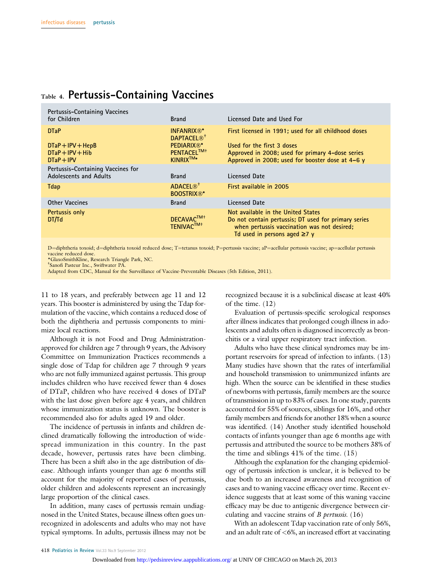# Table 4. Pertussis-Containing Vaccines

| Pertussis-Containing Vaccines<br>for Children                      | <b>Brand</b>                                                                                                         | Licensed Date and Used For                                                                                                                                                                 |
|--------------------------------------------------------------------|----------------------------------------------------------------------------------------------------------------------|--------------------------------------------------------------------------------------------------------------------------------------------------------------------------------------------|
| <b>DTaP</b><br>$DTaP+IPV+HepB$<br>$DTaP + IPv + Hib$<br>$DTaP+IPV$ | <b>INFANRIX®*</b><br>DAPTACEL® <sup>+</sup><br><b>PEDIARIX®*</b><br>PENTACEL <sup>TM+</sup><br>KINRIX <sup>TM*</sup> | First licensed in 1991; used for all childhood doses<br>Used for the first 3 doses<br>Approved in 2008; used for primary 4-dose series<br>Approved in 2008; used for booster dose at 4-6 y |
| Pertussis-Containing Vaccines for<br>Adolescents and Adults        | <b>Brand</b>                                                                                                         | Licensed Date                                                                                                                                                                              |
| <b>Tdap</b>                                                        | $ADACEL@+$<br><b>BOOSTRIX®*</b>                                                                                      | First available in 2005                                                                                                                                                                    |
| <b>Other Vaccines</b>                                              | <b>Brand</b>                                                                                                         | Licensed Date                                                                                                                                                                              |
| Pertussis only<br>DT/Td                                            | DECAVACTM+<br>TENIVAC <sup>TM+</sup>                                                                                 | Not available in the United States<br>Do not contain pertussis; DT used for primary series<br>when pertussis vaccination was not desired;<br>Td used in persons aged $\geq 7$ y            |

D=diphtheria toxoid; d=diphtheria toxoid reduced dose; T=tetanus toxoid; P=pertussis vaccine; aP=acellular pertussis vaccine; ap=acellular pertussis

vaccine reduced dose. \*GlaxoSmithKline, Research Triangle Park, NC.

† Sanofi Pasteur Inc., Swiftwater PA.

Adapted from CDC, Manual for the Surveillance of Vaccine-Preventable Diseases (5th Edition, 2011).

11 to 18 years, and preferably between age 11 and 12 years. This booster is administered by using the Tdap formulation of the vaccine, which contains a reduced dose of both the diphtheria and pertussis components to minimize local reactions.

Although it is not Food and Drug Administrationapproved for children age 7 through 9 years, the Advisory Committee on Immunization Practices recommends a single dose of Tdap for children age 7 through 9 years who are not fully immunized against pertussis. This group includes children who have received fewer than 4 doses of DTaP, children who have received 4 doses of DTaP with the last dose given before age 4 years, and children whose immunization status is unknown. The booster is recommended also for adults aged 19 and older.

The incidence of pertussis in infants and children declined dramatically following the introduction of widespread immunization in this country. In the past decade, however, pertussis rates have been climbing. There has been a shift also in the age distribution of disease. Although infants younger than age 6 months still account for the majority of reported cases of pertussis, older children and adolescents represent an increasingly large proportion of the clinical cases.

In addition, many cases of pertussis remain undiagnosed in the United States, because illness often goes unrecognized in adolescents and adults who may not have typical symptoms. In adults, pertussis illness may not be recognized because it is a subclinical disease at least 40% of the time. (12)

Evaluation of pertussis-specific serological responses after illness indicates that prolonged cough illness in adolescents and adults often is diagnosed incorrectly as bronchitis or a viral upper respiratory tract infection.

Adults who have these clinical syndromes may be important reservoirs for spread of infection to infants. (13) Many studies have shown that the rates of interfamilial and household transmission to unimmunized infants are high. When the source can be identified in these studies of newborns with pertussis, family members are the source of transmission in up to 83% of cases. In one study, parents accounted for 55% of sources, siblings for 16%, and other family members and friends for another 18% when a source was identified. (14) Another study identified household contacts of infants younger than age 6 months age with pertussis and attributed the source to be mothers 38% of the time and siblings 41% of the time. (15)

Although the explanation for the changing epidemiology of pertussis infection is unclear, it is believed to be due both to an increased awareness and recognition of cases and to waning vaccine efficacy over time. Recent evidence suggests that at least some of this waning vaccine efficacy may be due to antigenic divergence between circulating and vaccine strains of  $B$  *pertussis.* (16)

With an adolescent Tdap vaccination rate of only 56%, and an adult rate of  $<$  6%, an increased effort at vaccinating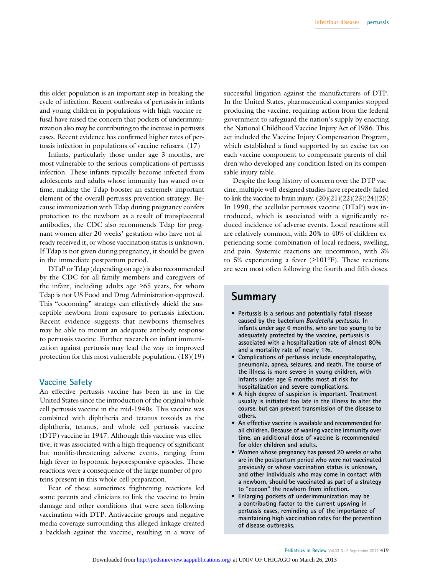this older population is an important step in breaking the cycle of infection. Recent outbreaks of pertussis in infants and young children in populations with high vaccine refusal have raised the concern that pockets of underimmunization also may be contributing to the increase in pertussis cases. Recent evidence has confirmed higher rates of pertussis infection in populations of vaccine refusers. (17)

Infants, particularly those under age 3 months, are most vulnerable to the serious complications of pertussis infection. These infants typically become infected from adolescents and adults whose immunity has waned over time, making the Tdap booster an extremely important element of the overall pertussis prevention strategy. Because immunization with Tdap during pregnancy confers protection to the newborn as a result of transplacental antibodies, the CDC also recommends Tdap for pregnant women after 20 weeks' gestation who have not already received it, or whose vaccination status is unknown. If Tdap is not given during pregnancy, it should be given in the immediate postpartum period.

DTaP or Tdap (depending on age) is also recommended by the CDC for all family members and caregivers of the infant, including adults age  $\geq 65$  years, for whom Tdap is not US Food and Drug Administration-approved. This "cocooning" strategy can effectively shield the susceptible newborn from exposure to pertussis infection. Recent evidence suggests that newborns themselves may be able to mount an adequate antibody response to pertussis vaccine. Further research on infant immunization against pertussis may lead the way to improved protection for this most vulnerable population. (18)(19)

#### Vaccine Safety

An effective pertussis vaccine has been in use in the United States since the introduction of the original whole cell pertussis vaccine in the mid-1940s. This vaccine was combined with diphtheria and tetanus toxoids as the diphtheria, tetanus, and whole cell pertussis vaccine (DTP) vaccine in 1947. Although this vaccine was effective, it was associated with a high frequency of significant but nonlife-threatening adverse events, ranging from high fever to hypotonic-hyporesponsive episodes. These reactions were a consequence of the large number of proteins present in this whole cell preparation.

Fear of these sometimes frightening reactions led some parents and clinicians to link the vaccine to brain damage and other conditions that were seen following vaccination with DTP. Antivaccine groups and negative media coverage surrounding this alleged linkage created a backlash against the vaccine, resulting in a wave of successful litigation against the manufacturers of DTP. In the United States, pharmaceutical companies stopped producing the vaccine, requiring action from the federal government to safeguard the nation's supply by enacting the National Childhood Vaccine Injury Act of 1986. This act included the Vaccine Injury Compensation Program, which established a fund supported by an excise tax on each vaccine component to compensate parents of children who developed any condition listed on its compensable injury table.

Despite the long history of concern over the DTP vaccine, multiple well-designed studies have repeatedly failed to link the vaccine to brain injury.  $(20)(21)(22)(23)(24)(25)$ In 1990, the acellular pertussis vaccine (DTaP) was introduced, which is associated with a significantly reduced incidence of adverse events. Local reactions still are relatively common, with 20% to 40% of children experiencing some combination of local redness, swelling, and pain. Systemic reactions are uncommon, with 3% to 5% experiencing a fever  $(\geq 101^{\circ}F)$ . These reactions are seen most often following the fourth and fifth doses.

# Summary

- Pertussis is a serious and potentially fatal disease caused by the bacterium Bordetella pertussis. In infants under age 6 months, who are too young to be adequately protected by the vaccine, pertussis is associated with a hospitalization rate of almost 80% and a mortality rate of nearly 1%.
- Complications of pertussis include encephalopathy, pneumonia, apnea, seizures, and death. The course of the illness is more severe in young children, with infants under age 6 months most at risk for hospitalization and severe complications.
- A high degree of suspicion is important. Treatment usually is initiated too late in the illness to alter the course, but can prevent transmission of the disease to others.
- An effective vaccine is available and recommended for all children. Because of waning vaccine immunity over time, an additional dose of vaccine is recommended for older children and adults.
- Women whose pregnancy has passed 20 weeks or who are in the postpartum period who were not vaccinated previously or whose vaccination status is unknown, and other individuals who may come in contact with a newborn, should be vaccinated as part of a strategy to "cocoon" the newborn from infection.
- Enlarging pockets of underimmunization may be a contributing factor to the current upswing in pertussis cases, reminding us of the importance of maintaining high vaccination rates for the prevention of disease outbreaks.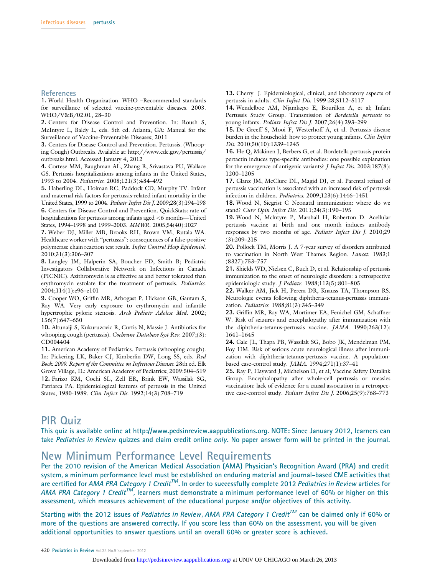#### References

1. World Health Organization. WHO –Recommended standards for surveillance of selected vaccine-preventable diseases. 2003. WHO/V&B/02.01, 28–30

2. Centers for Disease Control and Prevention. In: Roush S, McIntyre L, Baldy L, eds. 5th ed. Atlanta, GA: Manual for the Surveillance of Vaccine-Preventable Diseases; 2011

3. Centers for Disease Control and Prevention. Pertussis. (Whooping Cough) Outbreaks. Available at: [http://www.cdc.gov/pertussis/](http://www.cdc.gov/pertussis/outbreaks.html) [outbreaks.html.](http://www.cdc.gov/pertussis/outbreaks.html) Accessed January 4, 2012

4. Cortese MM, Baughman AL, Zhang R, Srivastava PU, Wallace GS. Pertussis hospitalizations among infants in the United States, 1993 to 2004. Pediatrics. 2008;121(3):484–492

5. Haberling DL, Holman RC, Paddock CD, Murphy TV. Infant and maternal risk factors for pertussis-related infant mortality in the United States, 1999 to 2004. Pediatr Infect Dis J. 2009;28(3):194–198 6. Centers for Disease Control and Prevention. QuickStats: rate of hospitalizations for pertussis among infants aged <6 months—United States, 1994–1998 and 1999–2003. MMWR. 2005;54(40):1027

7. Weber DJ, Miller MB, Brooks RH, Brown VM, Rutala WA. Healthcare worker with "pertussis": consequences of a false-positive polymerase chain reaction test result. Infect Control Hosp Epidemiol. 2010;31(3):306–307

8. Langley JM, Halperin SA, Boucher FD, Smith B; Pediatric Investigators Collaborative Network on Infections in Canada (PICNIC). Azithromycin is as effective as and better tolerated than erythromycin estolate for the treatment of pertussis. Pediatrics. 2004;114(1):e96–e101

9. Cooper WO, Griffin MR, Arbogast P, Hickson GB, Gautam S, Ray WA. Very early exposure to erythromycin and infantile hypertrophic pyloric stenosis. Arch Pediatr Adolesc Med. 2002; 156(7):647–650

10. Altunaiji S, Kukuruzovic R, Curtis N, Massie J. Antibiotics for whooping cough (pertussis). Cochrane Database Syst Rev. 2007;(3): CD004404

11. American Academy of Pediatrics. Pertussis (whooping cough). In: Pickering LK, Baker CJ, Kimberlin DW, Long SS, eds. Red Book: 2009. Report of the Committee on Infectious Diseases. 28th ed. Elk Grove Village, IL: American Academy of Pediatrics; 2009:504–519 12. Farizo KM, Cochi SL, Zell ER, Brink EW, Wassilak SG, Patriarca PA. Epidemiological features of pertussis in the United States, 1980-1989. Clin Infect Dis. 1992;14(3):708–719

13. Cherry J. Epidemiological, clinical, and laboratory aspects of pertussis in adults. Clin Infect Dis. 1999:28;S112-S117

14. Wendelboe AM, Njamkepo E, Bourillon A, et al; Infant Pertussis Study Group. Transmission of Bordetella pertussis to young infants. Pediatr Infect Dis J. 2007;26(4):293–299

15. De Greeff S, Mooi F, Westerhoff A, et al. Pertussis disease burden in the household: how to protect young infants. Clin Infect Dis. 2010;50(10):1339–1345

16. He Q, Mäkinen J, Berbers G, et al. Bordetella pertussis protein pertactin induces type-specific antibodies: one possible explanation for the emergence of antigenic variants? *J Infect Dis.* 2003;187(8): 1200–1205

17. Glanz JM, McClure DL, Magid DJ, et al. Parental refusal of pertussis vaccination is associated with an increased risk of pertussis infection in children. Pediatrics. 2009;123(6):1446–1451

18. Wood N, Siegrist C Neonatal immunization: where do we stand? Curr Opin Infect Dis. 2011;24(3):190–195

19. Wood N, Mclntyre P, Marshall H, Roberton D. Acellular pertussis vaccine at birth and one month induces antibody responses by two months of age. Pediatr Infect Dis J. 2010;29 (3):209–215

20. Pollock TM, Morris J. A 7-year survey of disorders attributed to vaccination in North West Thames Region. Lancet. 1983;1 (8327):753–757

21. Shields WD, Nielsen C, Buch D, et al. Relationship of pertussis immunization to the onset of neurologic disorders: a retrospective epidemiologic study. J Pediatr. 1988;113(5):801–805

22. Walker AM, Jick H, Perera DR, Knauss TA, Thompson RS. Neurologic events following diphtheria-tetanus-pertussis immunization. Pediatrics. 1988;81(3):345–349

23. Griffin MR, Ray WA, Mortimer EA, Fenichel GM, Schaffner W. Risk of seizures and encephalopathy after immunization with the diphtheria-tetanus-pertussis vaccine. JAMA. 1990;263(12): 1641–1645

24. Gale JL, Thapa PB, Wassilak SG, Bobo JK, Mendelman PM, Foy HM. Risk of serious acute neurological illness after immunization with diphtheria-tetanus-pertussis vaccine. A populationbased case-control study. JAMA. 1994;271(1):37–41

25. Ray P, Hayward J, Michelson D, et al; Vaccine Safety Datalink Group. Encephalopathy after whole-cell pertussis or measles vaccination: lack of evidence for a causal association in a retrospective case-control study. Pediatr Infect Dis J. 2006;25(9):768–773

## PIR Quiz

This quiz is available online at http://www.pedsinreview.aappublications.org. NOTE: Since January 2012, learners can take Pediatrics in Review quizzes and claim credit online only. No paper answer form will be printed in the journal.

# New Minimum Performance Level Requirements

Per the 2010 revision of the American Medical Association (AMA) Physician's Recognition Award (PRA) and credit system, a minimum performance level must be established on enduring material and journal-based CME activities that are certified for AMA PRA Category 1 Credit<sup>TM</sup>. In order to successfully complete 2012 Pediatrics in Review articles for AMA PRA Category 1 Credit<sup>TM</sup>, learners must demonstrate a minimum performance level of 60% or higher on this assessment, which measures achievement of the educational purpose and/or objectives of this activity.

Starting with the 2012 issues of Pediatrics in Review, AMA PRA Category 1 Credit<sup>TM</sup> can be claimed only if 60% or more of the questions are answered correctly. If you score less than 60% on the assessment, you will be given additional opportunities to answer questions until an overall 60% or greater score is achieved.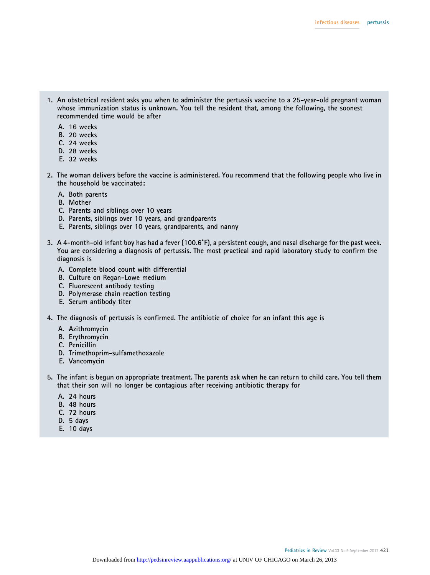- 1. An obstetrical resident asks you when to administer the pertussis vaccine to a 25-year-old pregnant woman whose immunization status is unknown. You tell the resident that, among the following, the soonest recommended time would be after
	- A. 16 weeks
	- B. 20 weeks
	- C. 24 weeks
	- D. 28 weeks
	- E. 32 weeks
- 2. The woman delivers before the vaccine is administered. You recommend that the following people who live in the household be vaccinated:
	- A. Both parents
	- B. Mother
	- C. Parents and siblings over 10 years
	- D. Parents, siblings over 10 years, and grandparents
	- E. Parents, siblings over 10 years, grandparents, and nanny
- 3. A 4-month-old infant boy has had a fever (100.6˚F), a persistent cough, and nasal discharge for the past week. You are considering a diagnosis of pertussis. The most practical and rapid laboratory study to confirm the diagnosis is
	- A. Complete blood count with differential
	- B. Culture on Regan-Lowe medium
	- C. Fluorescent antibody testing
	- D. Polymerase chain reaction testing
	- E. Serum antibody titer
- 4. The diagnosis of pertussis is confirmed. The antibiotic of choice for an infant this age is
	- A. Azithromycin
	- B. Erythromycin
	- C. Penicillin
	- D. Trimethoprim-sulfamethoxazole
	- E. Vancomycin
- 5. The infant is begun on appropriate treatment. The parents ask when he can return to child care. You tell them that their son will no longer be contagious after receiving antibiotic therapy for
	- A. 24 hours
	- B. 48 hours
	- C. 72 hours
	- D. 5 days
	- E. 10 days